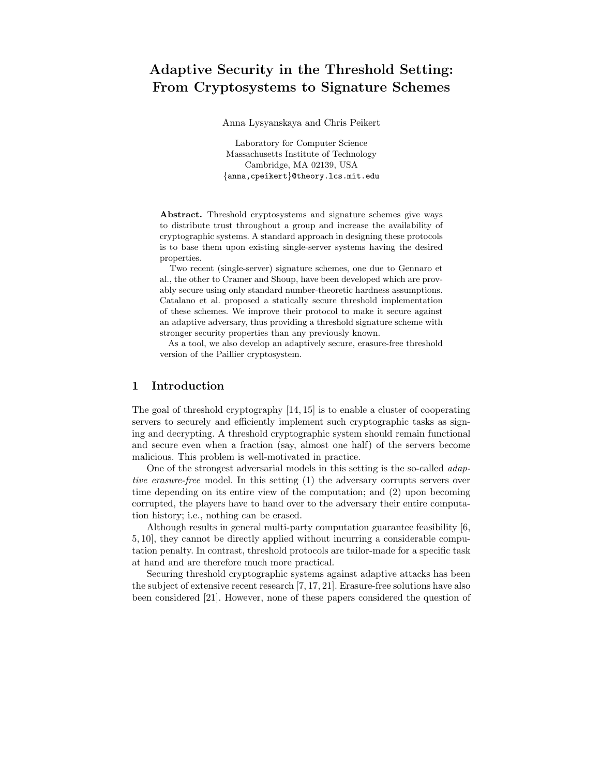# Adaptive Security in the Threshold Setting: From Cryptosystems to Signature Schemes

Anna Lysyanskaya and Chris Peikert

Laboratory for Computer Science Massachusetts Institute of Technology Cambridge, MA 02139, USA {anna,cpeikert}@theory.lcs.mit.edu

Abstract. Threshold cryptosystems and signature schemes give ways to distribute trust throughout a group and increase the availability of cryptographic systems. A standard approach in designing these protocols is to base them upon existing single-server systems having the desired properties.

Two recent (single-server) signature schemes, one due to Gennaro et al., the other to Cramer and Shoup, have been developed which are provably secure using only standard number-theoretic hardness assumptions. Catalano et al. proposed a statically secure threshold implementation of these schemes. We improve their protocol to make it secure against an adaptive adversary, thus providing a threshold signature scheme with stronger security properties than any previously known.

As a tool, we also develop an adaptively secure, erasure-free threshold version of the Paillier cryptosystem.

# 1 Introduction

The goal of threshold cryptography [14, 15] is to enable a cluster of cooperating servers to securely and efficiently implement such cryptographic tasks as signing and decrypting. A threshold cryptographic system should remain functional and secure even when a fraction (say, almost one half) of the servers become malicious. This problem is well-motivated in practice.

One of the strongest adversarial models in this setting is the so-called adaptive erasure-free model. In this setting (1) the adversary corrupts servers over time depending on its entire view of the computation; and (2) upon becoming corrupted, the players have to hand over to the adversary their entire computation history; i.e., nothing can be erased.

Although results in general multi-party computation guarantee feasibility [6, 5, 10], they cannot be directly applied without incurring a considerable computation penalty. In contrast, threshold protocols are tailor-made for a specific task at hand and are therefore much more practical.

Securing threshold cryptographic systems against adaptive attacks has been the subject of extensive recent research [7, 17, 21]. Erasure-free solutions have also been considered [21]. However, none of these papers considered the question of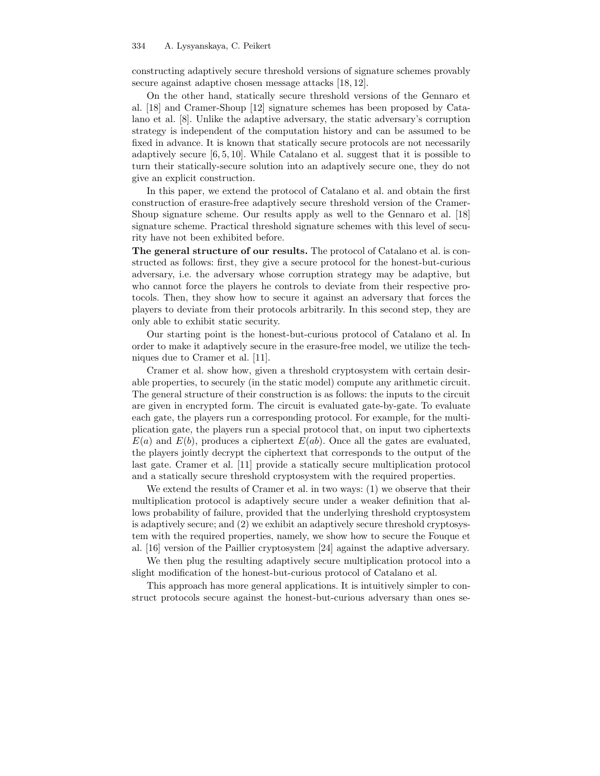constructing adaptively secure threshold versions of signature schemes provably secure against adaptive chosen message attacks [18, 12].

On the other hand, statically secure threshold versions of the Gennaro et al. [18] and Cramer-Shoup [12] signature schemes has been proposed by Catalano et al. [8]. Unlike the adaptive adversary, the static adversary's corruption strategy is independent of the computation history and can be assumed to be fixed in advance. It is known that statically secure protocols are not necessarily adaptively secure [6, 5, 10]. While Catalano et al. suggest that it is possible to turn their statically-secure solution into an adaptively secure one, they do not give an explicit construction.

In this paper, we extend the protocol of Catalano et al. and obtain the first construction of erasure-free adaptively secure threshold version of the Cramer-Shoup signature scheme. Our results apply as well to the Gennaro et al. [18] signature scheme. Practical threshold signature schemes with this level of security have not been exhibited before.

The general structure of our results. The protocol of Catalano et al. is constructed as follows: first, they give a secure protocol for the honest-but-curious adversary, i.e. the adversary whose corruption strategy may be adaptive, but who cannot force the players he controls to deviate from their respective protocols. Then, they show how to secure it against an adversary that forces the players to deviate from their protocols arbitrarily. In this second step, they are only able to exhibit static security.

Our starting point is the honest-but-curious protocol of Catalano et al. In order to make it adaptively secure in the erasure-free model, we utilize the techniques due to Cramer et al. [11].

Cramer et al. show how, given a threshold cryptosystem with certain desirable properties, to securely (in the static model) compute any arithmetic circuit. The general structure of their construction is as follows: the inputs to the circuit are given in encrypted form. The circuit is evaluated gate-by-gate. To evaluate each gate, the players run a corresponding protocol. For example, for the multiplication gate, the players run a special protocol that, on input two ciphertexts  $E(a)$  and  $E(b)$ , produces a ciphertext  $E(ab)$ . Once all the gates are evaluated, the players jointly decrypt the ciphertext that corresponds to the output of the last gate. Cramer et al. [11] provide a statically secure multiplication protocol and a statically secure threshold cryptosystem with the required properties.

We extend the results of Cramer et al. in two ways: (1) we observe that their multiplication protocol is adaptively secure under a weaker definition that allows probability of failure, provided that the underlying threshold cryptosystem is adaptively secure; and (2) we exhibit an adaptively secure threshold cryptosystem with the required properties, namely, we show how to secure the Fouque et al. [16] version of the Paillier cryptosystem [24] against the adaptive adversary.

We then plug the resulting adaptively secure multiplication protocol into a slight modification of the honest-but-curious protocol of Catalano et al.

This approach has more general applications. It is intuitively simpler to construct protocols secure against the honest-but-curious adversary than ones se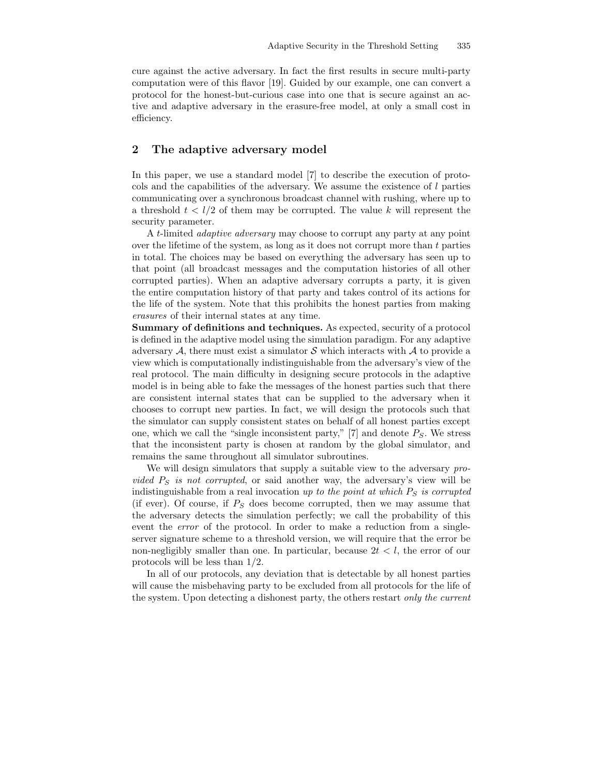cure against the active adversary. In fact the first results in secure multi-party computation were of this flavor [19]. Guided by our example, one can convert a protocol for the honest-but-curious case into one that is secure against an active and adaptive adversary in the erasure-free model, at only a small cost in efficiency.

# 2 The adaptive adversary model

In this paper, we use a standard model [7] to describe the execution of protocols and the capabilities of the adversary. We assume the existence of  $l$  parties communicating over a synchronous broadcast channel with rushing, where up to a threshold  $t < l/2$  of them may be corrupted. The value k will represent the security parameter.

A t-limited adaptive adversary may choose to corrupt any party at any point over the lifetime of the system, as long as it does not corrupt more than  $t$  parties in total. The choices may be based on everything the adversary has seen up to that point (all broadcast messages and the computation histories of all other corrupted parties). When an adaptive adversary corrupts a party, it is given the entire computation history of that party and takes control of its actions for the life of the system. Note that this prohibits the honest parties from making erasures of their internal states at any time.

Summary of definitions and techniques. As expected, security of a protocol is defined in the adaptive model using the simulation paradigm. For any adaptive adversary A, there must exist a simulator S which interacts with A to provide a view which is computationally indistinguishable from the adversary's view of the real protocol. The main difficulty in designing secure protocols in the adaptive model is in being able to fake the messages of the honest parties such that there are consistent internal states that can be supplied to the adversary when it chooses to corrupt new parties. In fact, we will design the protocols such that the simulator can supply consistent states on behalf of all honest parties except one, which we call the "single inconsistent party,"  $[7]$  and denote  $P_S$ . We stress that the inconsistent party is chosen at random by the global simulator, and remains the same throughout all simulator subroutines.

We will design simulators that supply a suitable view to the adversary provided  $P<sub>S</sub>$  is not corrupted, or said another way, the adversary's view will be indistinguishable from a real invocation up to the point at which  $P<sub>S</sub>$  is corrupted (if ever). Of course, if  $P<sub>S</sub>$  does become corrupted, then we may assume that the adversary detects the simulation perfectly; we call the probability of this event the *error* of the protocol. In order to make a reduction from a singleserver signature scheme to a threshold version, we will require that the error be non-negligibly smaller than one. In particular, because  $2t < l$ , the error of our protocols will be less than 1/2.

In all of our protocols, any deviation that is detectable by all honest parties will cause the misbehaving party to be excluded from all protocols for the life of the system. Upon detecting a dishonest party, the others restart only the current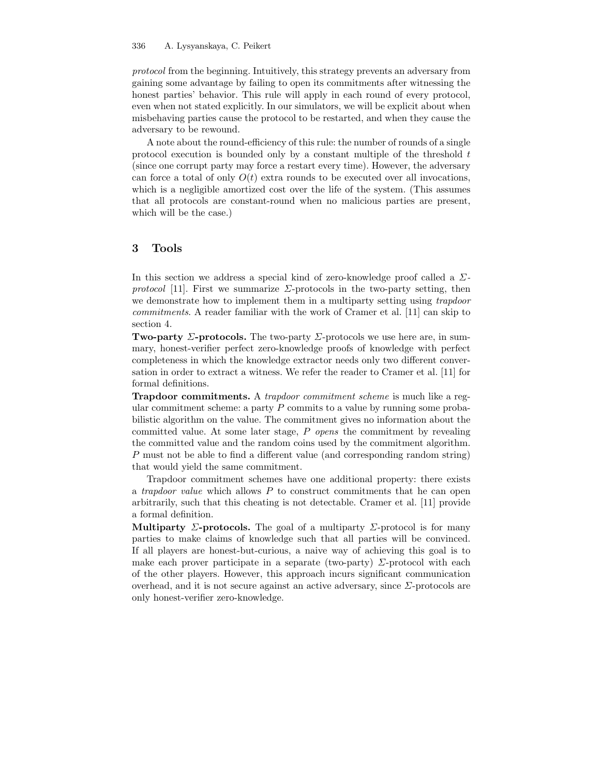protocol from the beginning. Intuitively, this strategy prevents an adversary from gaining some advantage by failing to open its commitments after witnessing the honest parties' behavior. This rule will apply in each round of every protocol, even when not stated explicitly. In our simulators, we will be explicit about when misbehaving parties cause the protocol to be restarted, and when they cause the adversary to be rewound.

A note about the round-efficiency of this rule: the number of rounds of a single protocol execution is bounded only by a constant multiple of the threshold t (since one corrupt party may force a restart every time). However, the adversary can force a total of only  $O(t)$  extra rounds to be executed over all invocations, which is a negligible amortized cost over the life of the system. (This assumes that all protocols are constant-round when no malicious parties are present, which will be the case.)

## 3 Tools

In this section we address a special kind of zero-knowledge proof called a  $\Sigma$ protocol [11]. First we summarize  $\Sigma$ -protocols in the two-party setting, then we demonstrate how to implement them in a multiparty setting using *trapdoor* commitments. A reader familiar with the work of Cramer et al. [11] can skip to section 4.

**Two-party**  $\Sigma$ **-protocols.** The two-party  $\Sigma$ -protocols we use here are, in summary, honest-verifier perfect zero-knowledge proofs of knowledge with perfect completeness in which the knowledge extractor needs only two different conversation in order to extract a witness. We refer the reader to Cramer et al. [11] for formal definitions.

**Trapdoor commitments.** A *trapdoor commitment scheme* is much like a regular commitment scheme: a party  $P$  commits to a value by running some probabilistic algorithm on the value. The commitment gives no information about the committed value. At some later stage, P opens the commitment by revealing the committed value and the random coins used by the commitment algorithm. P must not be able to find a different value (and corresponding random string) that would yield the same commitment.

Trapdoor commitment schemes have one additional property: there exists a *trapdoor value* which allows  $P$  to construct commitments that he can open arbitrarily, such that this cheating is not detectable. Cramer et al. [11] provide a formal definition.

Multiparty  $\Sigma$ -protocols. The goal of a multiparty  $\Sigma$ -protocol is for many parties to make claims of knowledge such that all parties will be convinced. If all players are honest-but-curious, a naive way of achieving this goal is to make each prover participate in a separate (two-party)  $\Sigma$ -protocol with each of the other players. However, this approach incurs significant communication overhead, and it is not secure against an active adversary, since  $\Sigma$ -protocols are only honest-verifier zero-knowledge.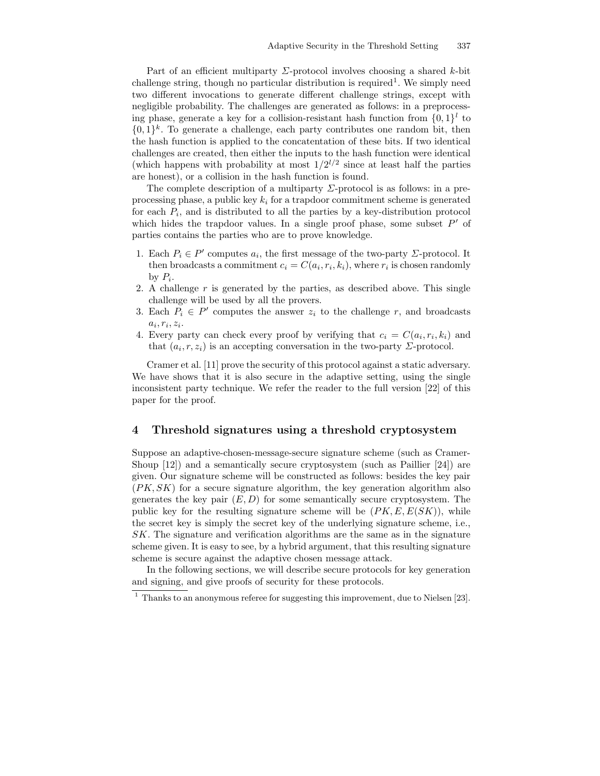Part of an efficient multiparty  $\Sigma$ -protocol involves choosing a shared k-bit challenge string, though no particular distribution is required<sup>1</sup>. We simply need two different invocations to generate different challenge strings, except with negligible probability. The challenges are generated as follows: in a preprocessing phase, generate a key for a collision-resistant hash function from  $\{0,1\}^l$  to  $\{0,1\}^k$ . To generate a challenge, each party contributes one random bit, then the hash function is applied to the concatentation of these bits. If two identical challenges are created, then either the inputs to the hash function were identical (which happens with probability at most  $1/2^{l/2}$  since at least half the parties are honest), or a collision in the hash function is found.

The complete description of a multiparty  $\Sigma$ -protocol is as follows: in a preprocessing phase, a public key  $k_i$  for a trapdoor commitment scheme is generated for each  $P_i$ , and is distributed to all the parties by a key-distribution protocol which hides the trapdoor values. In a single proof phase, some subset  $P'$  of parties contains the parties who are to prove knowledge.

- 1. Each  $P_i \in P'$  computes  $a_i$ , the first message of the two-party  $\Sigma$ -protocol. It then broadcasts a commitment  $c_i = C(a_i, r_i, k_i)$ , where  $r_i$  is chosen randomly by  $P_i$ .
- 2. A challenge r is generated by the parties, as described above. This single challenge will be used by all the provers.
- 3. Each  $P_i \in P'$  computes the answer  $z_i$  to the challenge r, and broadcasts  $a_i, r_i, z_i$ .
- 4. Every party can check every proof by verifying that  $c_i = C(a_i, r_i, k_i)$  and that  $(a_i, r, z_i)$  is an accepting conversation in the two-party  $\Sigma$ -protocol.

Cramer et al. [11] prove the security of this protocol against a static adversary. We have shows that it is also secure in the adaptive setting, using the single inconsistent party technique. We refer the reader to the full version [22] of this paper for the proof.

## 4 Threshold signatures using a threshold cryptosystem

Suppose an adaptive-chosen-message-secure signature scheme (such as Cramer-Shoup [12]) and a semantically secure cryptosystem (such as Paillier [24]) are given. Our signature scheme will be constructed as follows: besides the key pair  $(PK, SK)$  for a secure signature algorithm, the key generation algorithm also generates the key pair  $(E, D)$  for some semantically secure cryptosystem. The public key for the resulting signature scheme will be  $(PK, E, E(SK))$ , while the secret key is simply the secret key of the underlying signature scheme, i.e., SK. The signature and verification algorithms are the same as in the signature scheme given. It is easy to see, by a hybrid argument, that this resulting signature scheme is secure against the adaptive chosen message attack.

In the following sections, we will describe secure protocols for key generation and signing, and give proofs of security for these protocols.

<sup>&</sup>lt;sup>1</sup> Thanks to an anonymous referee for suggesting this improvement, due to Nielsen [23].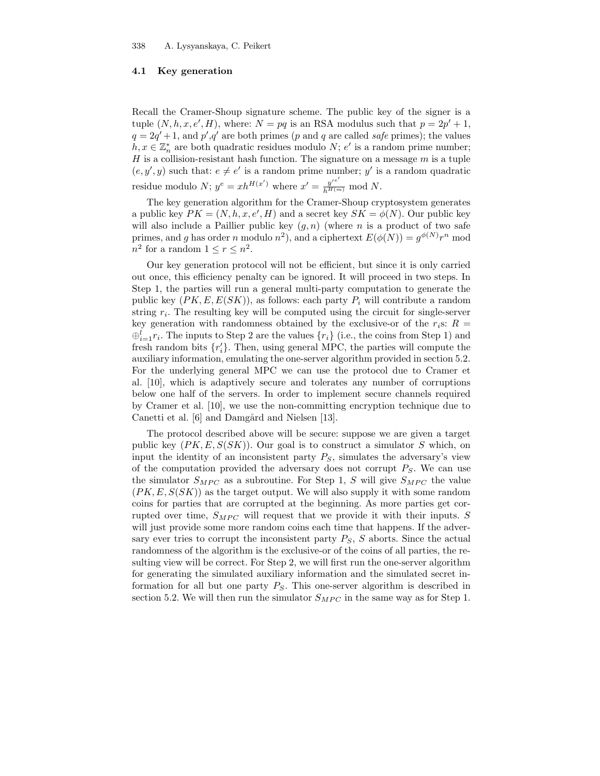#### 4.1 Key generation

Recall the Cramer-Shoup signature scheme. The public key of the signer is a tuple  $(N, h, x, e', H)$ , where:  $N = pq$  is an RSA modulus such that  $p = 2p' + 1$ ,  $q = 2q' + 1$ , and  $p', q'$  are both primes (p and q are called safe primes); the values  $h, x \in \mathbb{Z}_n^*$  are both quadratic residues modulo  $N$ ;  $e'$  is a random prime number;  $H$  is a collision-resistant hash function. The signature on a message  $m$  is a tuple  $(e, y', y)$  such that:  $e \neq e'$  is a random prime number; y' is a random quadratic residue modulo N;  $y^e = xh^{H(x')}$  where  $x' = \frac{y'^{e'}}{h^{H(m)}}$  mod N.

The key generation algorithm for the Cramer-Shoup cryptosystem generates a public key  $PK = (N, h, x, e', H)$  and a secret key  $SK = \phi(N)$ . Our public key will also include a Paillier public key  $(g, n)$  (where n is a product of two safe primes, and g has order n modulo  $n^2$ , and a ciphertext  $E(\phi(N)) = g^{\phi(N)}r^n$  mod  $n^2$  for a random  $1 \le r \le n^2$ .

Our key generation protocol will not be efficient, but since it is only carried out once, this efficiency penalty can be ignored. It will proceed in two steps. In Step 1, the parties will run a general multi-party computation to generate the public key  $(PK, E, E(SK))$ , as follows: each party  $P_i$  will contribute a random string  $r_i$ . The resulting key will be computed using the circuit for single-server key generation with randomness obtained by the exclusive-or of the r<sub>i</sub>s:  $R =$  $\bigoplus_{i=1}^{l} r_i$ . The inputs to Step 2 are the values  $\{r_i\}$  (i.e., the coins from Step 1) and fresh random bits  $\{r_i'\}$ . Then, using general MPC, the parties will compute the auxiliary information, emulating the one-server algorithm provided in section 5.2. For the underlying general MPC we can use the protocol due to Cramer et al. [10], which is adaptively secure and tolerates any number of corruptions below one half of the servers. In order to implement secure channels required by Cramer et al. [10], we use the non-committing encryption technique due to Canetti et al. [6] and Damgård and Nielsen [13].

The protocol described above will be secure: suppose we are given a target public key  $(PK, E, S(SK))$ . Our goal is to construct a simulator S which, on input the identity of an inconsistent party  $P<sub>S</sub>$ , simulates the adversary's view of the computation provided the adversary does not corrupt  $P<sub>S</sub>$ . We can use the simulator  $S_{MPC}$  as a subroutine. For Step 1, S will give  $S_{MPC}$  the value  $(PK, E, S(SK))$  as the target output. We will also supply it with some random coins for parties that are corrupted at the beginning. As more parties get corrupted over time,  $S_{MPC}$  will request that we provide it with their inputs. S will just provide some more random coins each time that happens. If the adversary ever tries to corrupt the inconsistent party  $P_S$ ,  $S$  aborts. Since the actual randomness of the algorithm is the exclusive-or of the coins of all parties, the resulting view will be correct. For Step 2, we will first run the one-server algorithm for generating the simulated auxiliary information and the simulated secret information for all but one party  $P<sub>S</sub>$ . This one-server algorithm is described in section 5.2. We will then run the simulator  $S_{MPC}$  in the same way as for Step 1.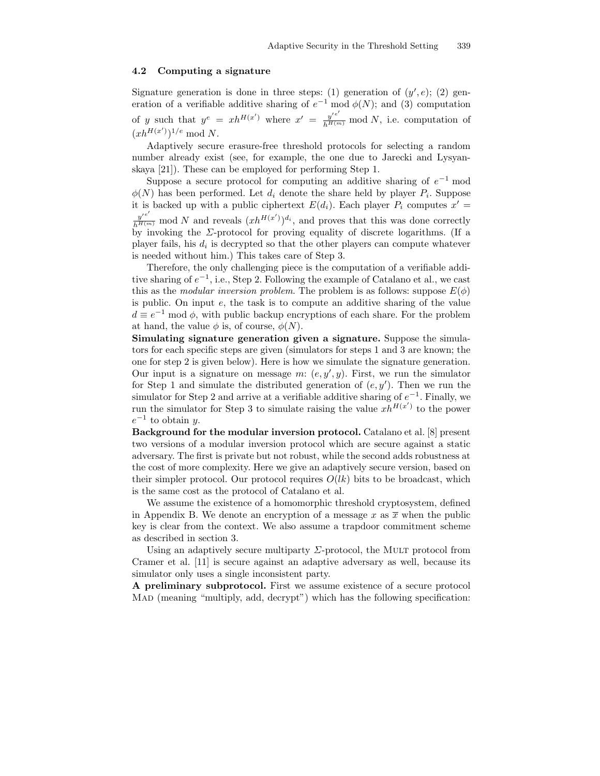### 4.2 Computing a signature

Signature generation is done in three steps: (1) generation of  $(y', e)$ ; (2) generation of a verifiable additive sharing of  $e^{-1}$  mod  $\phi(N)$ ; and (3) computation of y such that  $y^e = xh^{H(x')}$  where  $x' = \frac{y'^{e'}}{h^{H(m)}}$  mod N, i.e. computation of  $(xh^{H(x')})^{1/e} \mod N.$ 

Adaptively secure erasure-free threshold protocols for selecting a random number already exist (see, for example, the one due to Jarecki and Lysyanskaya [21]). These can be employed for performing Step 1.

Suppose a secure protocol for computing an additive sharing of  $e^{-1}$  mod  $\phi(N)$  has been performed. Let  $d_i$  denote the share held by player  $P_i$ . Suppose it is backed up with a public ciphertext  $E(d_i)$ . Each player  $P_i$  computes  $x' =$  $y'^{e'}_{h^{H(m)}}$  mod N and reveals  $(xh^{H(x')})^{d_i}$ , and proves that this was done correctly by invoking the  $\Sigma$ -protocol for proving equality of discrete logarithms. (If a player fails, his  $d_i$  is decrypted so that the other players can compute whatever is needed without him.) This takes care of Step 3.

Therefore, the only challenging piece is the computation of a verifiable additive sharing of  $e^{-1}$ , i.e., Step 2. Following the example of Catalano et al., we cast this as the *modular inversion problem*. The problem is as follows: suppose  $E(\phi)$ is public. On input  $e$ , the task is to compute an additive sharing of the value  $d \equiv e^{-1} \mod \phi$ , with public backup encryptions of each share. For the problem at hand, the value  $\phi$  is, of course,  $\phi(N)$ .

Simulating signature generation given a signature. Suppose the simulators for each specific steps are given (simulators for steps 1 and 3 are known; the one for step 2 is given below). Here is how we simulate the signature generation. Our input is a signature on message m:  $(e, y', y)$ . First, we run the simulator for Step 1 and simulate the distributed generation of  $(e, y')$ . Then we run the simulator for Step 2 and arrive at a verifiable additive sharing of  $e^{-1}$ . Finally, we run the simulator for Step 3 to simulate raising the value  $x \tilde{h}^{H(x')}$  to the power  $e^{-1}$  to obtain y.

Background for the modular inversion protocol. Catalano et al. [8] present two versions of a modular inversion protocol which are secure against a static adversary. The first is private but not robust, while the second adds robustness at the cost of more complexity. Here we give an adaptively secure version, based on their simpler protocol. Our protocol requires  $O(lk)$  bits to be broadcast, which is the same cost as the protocol of Catalano et al.

We assume the existence of a homomorphic threshold cryptosystem, defined in Appendix B. We denote an encryption of a message x as  $\bar{x}$  when the public key is clear from the context. We also assume a trapdoor commitment scheme as described in section 3.

Using an adaptively secure multiparty  $\Sigma$ -protocol, the MULT protocol from Cramer et al. [11] is secure against an adaptive adversary as well, because its simulator only uses a single inconsistent party.

A preliminary subprotocol. First we assume existence of a secure protocol MAD (meaning "multiply, add, decrypt") which has the following specification: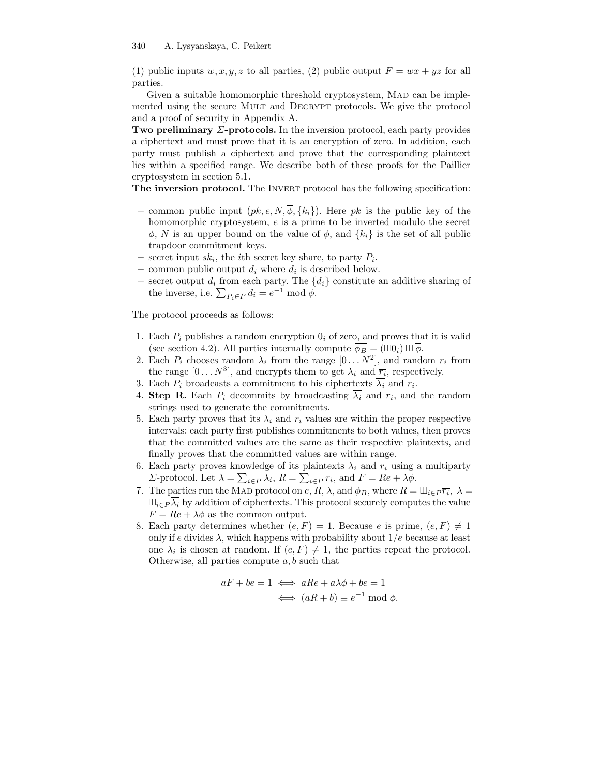(1) public inputs  $w, \overline{x}, \overline{y}, \overline{z}$  to all parties, (2) public output  $F = wx + yz$  for all parties.

Given a suitable homomorphic threshold cryptosystem, MAD can be implemented using the secure MULT and DECRYPT protocols. We give the protocol and a proof of security in Appendix A.

Two preliminary  $\Sigma$ -protocols. In the inversion protocol, each party provides a ciphertext and must prove that it is an encryption of zero. In addition, each party must publish a ciphertext and prove that the corresponding plaintext lies within a specified range. We describe both of these proofs for the Paillier cryptosystem in section 5.1.

The inversion protocol. The INVERT protocol has the following specification:

- common public input  $(pk, e, N, \overline{\phi}, \{k_i\})$ . Here pk is the public key of the homomorphic cryptosystem, e is a prime to be inverted modulo the secret  $\phi$ , N is an upper bound on the value of  $\phi$ , and  $\{k_i\}$  is the set of all public trapdoor commitment keys.
- secret input  $sk_i$ , the *i*<sup>th</sup> secret key share, to party  $P_i$ .
- common public output  $d_i$  where  $d_i$  is described below.
- secret output  $d_i$  from each party. The  $\{d_i\}$  constitute an additive sharing of the inverse, i.e.  $\sum_{P_i \in P} d_i = e^{-1} \text{ mod } \phi$ .

The protocol proceeds as follows:

- 1. Each  $P_i$  publishes a random encryption  $\overline{O_i}$  of zero, and proves that it is valid (see section 4.2). All parties internally compute  $\overline{\phi_B} = (\boxplus \overline{0_i}) \boxplus \overline{\phi}$ .
- 2. Each  $P_i$  chooses random  $\lambda_i$  from the range  $[0 \dots N^2]$ , and random  $r_i$  from the range  $[0 \dots N^3]$ , and encrypts them to get  $\overline{\lambda_i}$  and  $\overline{r_i}$ , respectively.
- 3. Each  $P_i$  broadcasts a commitment to his ciphertexts  $\lambda_i$  and  $\overline{r_i}$ .
- 4. Step R. Each  $P_i$  decommits by broadcasting  $\lambda_i$  and  $\overline{r_i}$ , and the random strings used to generate the commitments.
- 5. Each party proves that its  $\lambda_i$  and  $r_i$  values are within the proper respective intervals: each party first publishes commitments to both values, then proves that the committed values are the same as their respective plaintexts, and finally proves that the committed values are within range.
- 6. Each party proves knowledge of its plaintexts  $\lambda_i$  and  $r_i$  using a multiparty Σ-protocol. Let  $λ = ∑_{i∈P} λ_i$ ,  $R = ∑_{i∈P} r_i$ , and  $F = Re + λφ$ .
- 7. The parties run the MAD protocol on  $e, \overline{R}, \overline{\lambda}$ , and  $\overline{\phi_B}$ , where  $\overline{R} = \boxplus_{i \in P} \overline{r_i}, \overline{\lambda} =$  $\overline{\boxplus}_{i\in P}\overline{\lambda_i}$  by addition of ciphertexts. This protocol securely computes the value  $F = Re + \lambda \phi$  as the common output.
- 8. Each party determines whether  $(e, F) = 1$ . Because e is prime,  $(e, F) \neq 1$ only if e divides  $\lambda$ , which happens with probability about  $1/e$  because at least one  $\lambda_i$  is chosen at random. If  $(e, F) \neq 1$ , the parties repeat the protocol. Otherwise, all parties compute  $a, b$  such that

$$
aF + be = 1 \iff aRe + a\lambda\phi + be = 1
$$
  

$$
\iff (aR + b) \equiv e^{-1} \mod \phi.
$$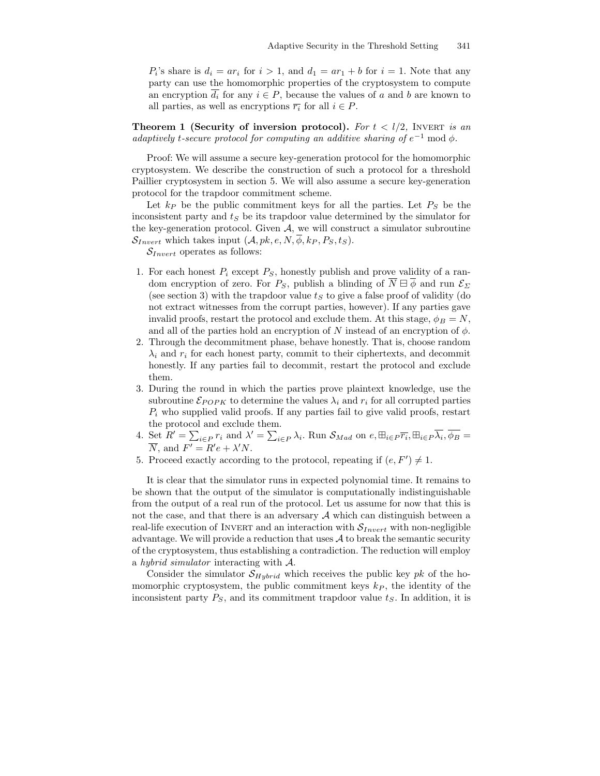$P_i$ 's share is  $d_i = ar_i$  for  $i > 1$ , and  $d_1 = ar_1 + b$  for  $i = 1$ . Note that any party can use the homomorphic properties of the cryptosystem to compute an encryption  $d_i$  for any  $i \in P$ , because the values of a and b are known to all parties, as well as encryptions  $\overline{r_i}$  for all  $i \in P$ .

Theorem 1 (Security of inversion protocol). For  $t < l/2$ , INVERT is an adaptively t-secure protocol for computing an additive sharing of  $e^{-1}$  mod  $\phi$ .

Proof: We will assume a secure key-generation protocol for the homomorphic cryptosystem. We describe the construction of such a protocol for a threshold Paillier cryptosystem in section 5. We will also assume a secure key-generation protocol for the trapdoor commitment scheme.

Let  $k_P$  be the public commitment keys for all the parties. Let  $P_S$  be the inconsistent party and  $t<sub>S</sub>$  be its trapdoor value determined by the simulator for the key-generation protocol. Given  $A$ , we will construct a simulator subroutine  $\mathcal{S}_{Invert}$  which takes input  $(\mathcal{A}, pk, e, N, \phi, k_P, P_S, t_S)$ .

 $S_{Invert}$  operates as follows:

- 1. For each honest  $P_i$  except  $P_S$ , honestly publish and prove validity of a random encryption of zero. For  $P_S$ , publish a blinding of  $\overline{N} \boxminus \overline{\phi}$  and run  $\mathcal{E}_{\Sigma}$ (see section 3) with the trapdoor value  $t<sub>S</sub>$  to give a false proof of validity (do not extract witnesses from the corrupt parties, however). If any parties gave invalid proofs, restart the protocol and exclude them. At this stage,  $\phi_B = N$ , and all of the parties hold an encryption of N instead of an encryption of  $\phi$ .
- 2. Through the decommitment phase, behave honestly. That is, choose random  $\lambda_i$  and  $r_i$  for each honest party, commit to their ciphertexts, and decommit honestly. If any parties fail to decommit, restart the protocol and exclude them.
- 3. During the round in which the parties prove plaintext knowledge, use the subroutine  $\mathcal{E}_{POPK}$  to determine the values  $\lambda_i$  and  $r_i$  for all corrupted parties  $P_i$  who supplied valid proofs. If any parties fail to give valid proofs, restart the protocol and exclude them.
- 4. Set  $R' = \sum_{i \in P} r_i$  and  $\lambda' = \sum_{i \in P} \lambda_i$ . Run  $\mathcal{S}_{Mad}$  on  $e, \boxplus_{i \in P} \overline{r_i}, \boxplus_{i \in P} \overline{\lambda_i}, \overline{\phi_B} =$ N, and  $F' = R'e + \lambda' N$ .
- 5. Proceed exactly according to the protocol, repeating if  $(e, F') \neq 1$ .

It is clear that the simulator runs in expected polynomial time. It remains to be shown that the output of the simulator is computationally indistinguishable from the output of a real run of the protocol. Let us assume for now that this is not the case, and that there is an adversary  $A$  which can distinguish between a real-life execution of INVERT and an interaction with  $S_{Invert}$  with non-negligible advantage. We will provide a reduction that uses  $A$  to break the semantic security of the cryptosystem, thus establishing a contradiction. The reduction will employ a hybrid simulator interacting with A.

Consider the simulator  $\mathcal{S}_{Hybrid}$  which receives the public key pk of the homomorphic cryptosystem, the public commitment keys  $k<sub>P</sub>$ , the identity of the inconsistent party  $P_S$ , and its commitment trapdoor value  $t_S$ . In addition, it is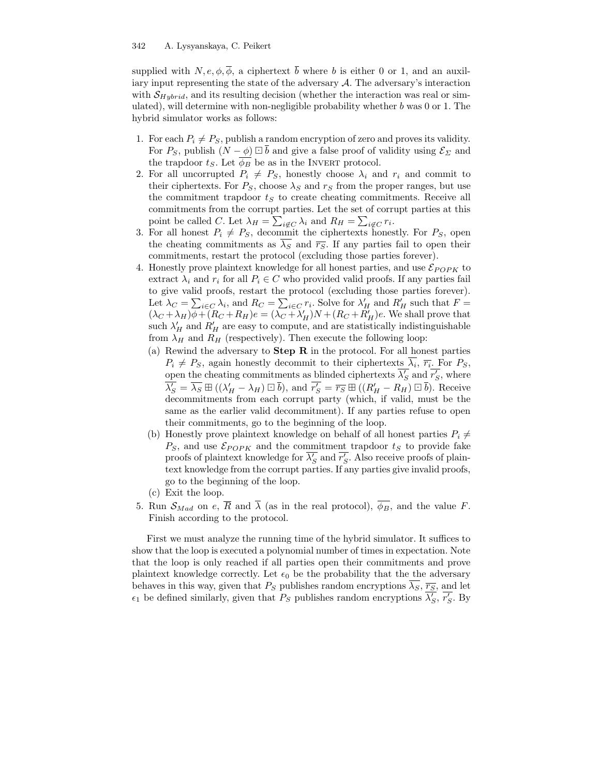#### 342 A. Lysyanskaya, C. Peikert

supplied with  $N, e, \phi, \overline{\phi}$ , a ciphertext  $\overline{b}$  where b is either 0 or 1, and an auxiliary input representing the state of the adversary  $A$ . The adversary's interaction with  $S_{Hubrid}$ , and its resulting decision (whether the interaction was real or simulated), will determine with non-negligible probability whether  $b$  was  $0$  or  $1$ . The hybrid simulator works as follows:

- 1. For each  $P_i \neq P_S$ , publish a random encryption of zero and proves its validity. For  $P_S$ , publish  $(N - \phi) \square \overline{b}$  and give a false proof of validity using  $\mathcal{E}_{\Sigma}$  and the trapdoor  $t_S$ . Let  $\overline{\phi_B}$  be as in the INVERT protocol.
- 2. For all uncorrupted  $P_i \neq P_s$ , honestly choose  $\lambda_i$  and  $r_i$  and commit to their ciphertexts. For  $P_S$ , choose  $\lambda_S$  and  $r_S$  from the proper ranges, but use the commitment trapdoor  $t<sub>S</sub>$  to create cheating commitments. Receive all commitments from the corrupt parties. Let the set of corrupt parties at this point be called C. Let  $\lambda_H = \sum_{i \notin C} \lambda_i$  and  $R_H = \sum_{i \notin C} r_i$ .
- 3. For all honest  $P_i \neq P_S$ , decommit the ciphertexts honestly. For  $P_S$ , open the cheating commitments as  $\lambda_S$  and  $\overline{r_S}$ . If any parties fail to open their commitments, restart the protocol (excluding those parties forever).
- 4. Honestly prove plaintext knowledge for all honest parties, and use  $\mathcal{E}_{POPK}$  to extract  $\lambda_i$  and  $r_i$  for all  $P_i \in C$  who provided valid proofs. If any parties fail to give valid proofs, restart the protocol (excluding those parties forever). Let  $\lambda_C = \sum_{i \in C} \lambda_i$ , and  $R_C = \sum_{i \in C} r_i$ . Solve for  $\lambda'_H$  and  $R'_H$  such that  $F =$  $(\lambda_C + \lambda_H)\phi + (R_C + R_H)e = (\lambda_C + \lambda'_H)N + (R_C + R'_H)e$ . We shall prove that such  $\lambda'_H$  and  $R'_H$  are easy to compute, and are statistically indistinguishable from  $\lambda_H$  and  $R_H$  (respectively). Then execute the following loop:
	- (a) Rewind the adversary to **Step R** in the protocol. For all honest parties  $P_i \neq P_S$ , again honestly decommit to their ciphertexts  $\lambda_i$ ,  $\overline{r_i}$ . For  $P_S$ , open the cheating commitments as blinded ciphertexts  $\lambda'_{S}$  and  $r'_{S}$ , where  $\overline{\lambda'_{S}} = \overline{\lambda_{S}} \boxplus ((\lambda'_{H} - \lambda_{H}) \boxdot \overline{b}), \text{ and } \overline{r'_{S}} = \overline{r_{S}} \boxplus ((R'_{H} - R_{H}) \boxdot \overline{b}).$  Receive decommitments from each corrupt party (which, if valid, must be the same as the earlier valid decommitment). If any parties refuse to open their commitments, go to the beginning of the loop.
	- (b) Honestly prove plaintext knowledge on behalf of all honest parties  $P_i \neq$  $P<sub>S</sub>$ , and use  $\mathcal{E}_{POPK}$  and the commitment trapdoor  $t<sub>S</sub>$  to provide fake proofs of plaintext knowledge for  $\lambda_S'$  and  $r_S'$ . Also receive proofs of plaintext knowledge from the corrupt parties. If any parties give invalid proofs, go to the beginning of the loop.
	- (c) Exit the loop.
- 5. Run  $S_{Mad}$  on e,  $\overline{R}$  and  $\overline{\lambda}$  (as in the real protocol),  $\overline{\phi_B}$ , and the value F. Finish according to the protocol.

First we must analyze the running time of the hybrid simulator. It suffices to show that the loop is executed a polynomial number of times in expectation. Note that the loop is only reached if all parties open their commitments and prove plaintext knowledge correctly. Let  $\epsilon_0$  be the probability that the the adversary behaves in this way, given that  $P_S$  publishes random encryptions  $\overline{\lambda_S}, \overline{r_S}$ , and let  $\epsilon_1$  be defined similarly, given that  $P_S$  publishes random encryptions  $\lambda'_S$ ,  $r'_S$ . By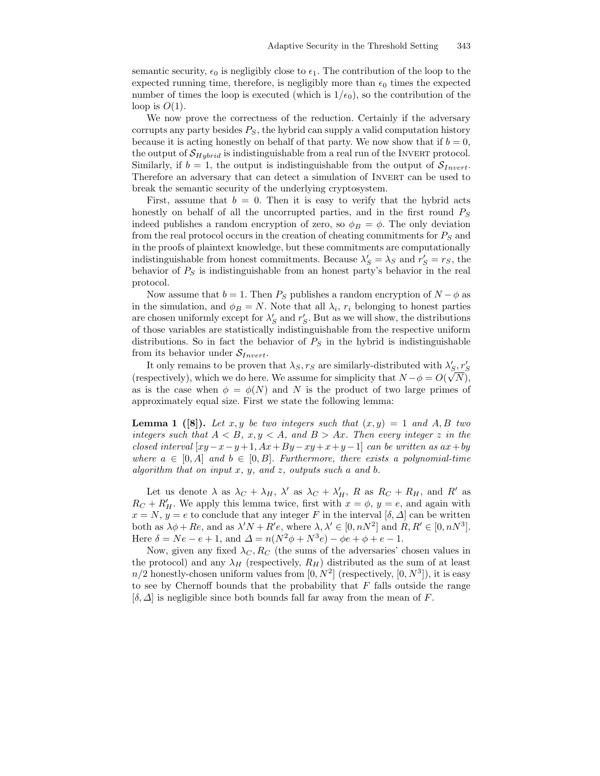semantic security,  $\epsilon_0$  is negligibly close to  $\epsilon_1$ . The contribution of the loop to the expected running time, therefore, is negligibly more than  $\epsilon_0$  times the expected number of times the loop is executed (which is  $1/\epsilon_0$ ), so the contribution of the loop is  $O(1)$ .

We now prove the correctness of the reduction. Certainly if the adversary corrupts any party besides  $P<sub>S</sub>$ , the hybrid can supply a valid computation history because it is acting honestly on behalf of that party. We now show that if  $b = 0$ , the output of  $\mathcal{S}_{Hybrid}$  is indistinguishable from a real run of the INVERT protocol. Similarly, if  $b = 1$ , the output is indistinguishable from the output of  $S_{Invert}$ . Therefore an adversary that can detect a simulation of INVERT can be used to break the semantic security of the underlying cryptosystem.

First, assume that  $b = 0$ . Then it is easy to verify that the hybrid acts honestly on behalf of all the uncorrupted parties, and in the first round  $P<sub>S</sub>$ indeed publishes a random encryption of zero, so  $\phi_B = \phi$ . The only deviation from the real protocol occurs in the creation of cheating commitments for  $P<sub>S</sub>$  and in the proofs of plaintext knowledge, but these commitments are computationally indistinguishable from honest commitments. Because  $\lambda'_{S} = \lambda_{S}$  and  $r'_{S} = r_{S}$ , the behavior of  $P<sub>S</sub>$  is indistinguishable from an honest party's behavior in the real protocol.

Now assume that  $b = 1$ . Then  $P_S$  publishes a random encryption of  $N - \phi$  as in the simulation, and  $\phi_B = N$ . Note that all  $\lambda_i$ ,  $r_i$  belonging to honest parties are chosen uniformly except for  $\lambda'_{S}$  and  $r'_{S}$ . But as we will show, the distributions of those variables are statistically indistinguishable from the respective uniform distributions. So in fact the behavior of  $P<sub>S</sub>$  in the hybrid is indistinguishable from its behavior under  $S_{Invert}$ .

It only remains to be proven that  $\lambda_S, r_S$  are similarly-distributed with  $\lambda_S', r_S'$ (respectively), which we do here. We assume for simplicity that  $N - \phi = O(\sqrt{N})$ , as is the case when  $\phi = \phi(N)$  and N is the product of two large primes of approximately equal size. First we state the following lemma:

**Lemma 1** ([8]). Let x, y be two integers such that  $(x, y) = 1$  and A, B two integers such that  $A < B$ ,  $x, y < A$ , and  $B > Ax$ . Then every integer z in the closed interval  $[xy - x - y + 1, Ax + By - xy + x + y - 1]$  can be written as  $ax + by$ where  $a \in [0, A]$  and  $b \in [0, B]$ . Furthermore, there exists a polynomial-time algorithm that on input x, y, and z, outputs such a and b.

Let us denote  $\lambda$  as  $\lambda_C + \lambda_H$ ,  $\lambda'$  as  $\lambda_C + \lambda'_H$ , R as  $R_C + R_H$ , and R' as  $R_C + R'_H$ . We apply this lemma twice, first with  $x = \phi$ ,  $y = e$ , and again with  $x = N$ ,  $y = e$  to conclude that any integer F in the interval  $[\delta, \Delta]$  can be written both as  $\lambda \phi + Re$ , and as  $\lambda' N + R'e$ , where  $\lambda, \lambda' \in [0, nN^2]$  and  $R, R' \in [0, nN^3]$ . Here  $\delta = Ne - e + 1$ , and  $\Delta = n(N^2\phi + N^3e) - \phi e + \phi + e - 1$ .

Now, given any fixed  $\lambda_C, R_C$  (the sums of the adversaries' chosen values in the protocol) and any  $\lambda_H$  (respectively,  $R_H$ ) distributed as the sum of at least  $n/2$  honestly-chosen uniform values from  $[0, N^2]$  (respectively,  $[0, N^3]$ ), it is easy to see by Chernoff bounds that the probability that  $F$  falls outside the range  $[\delta, \Delta]$  is negligible since both bounds fall far away from the mean of F.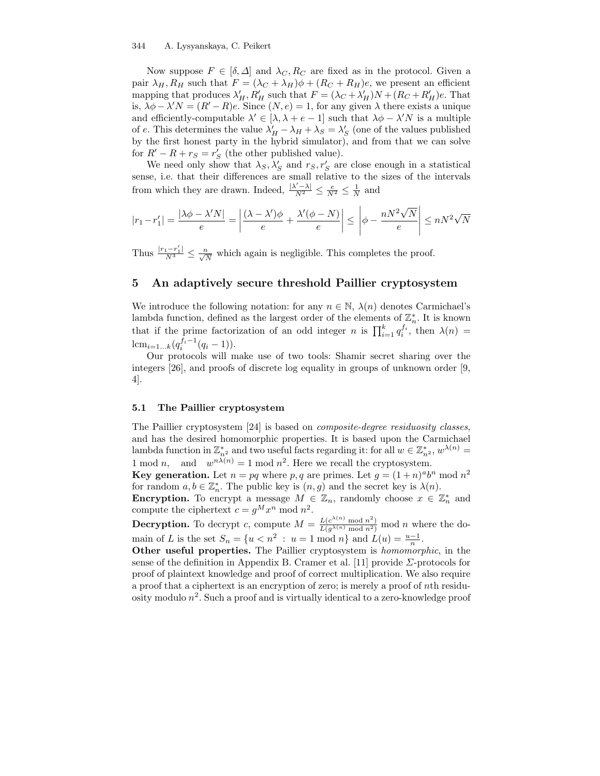#### 344 A. Lysyanskaya, C. Peikert

Now suppose  $F \in [\delta, \Delta]$  and  $\lambda_C, R_C$  are fixed as in the protocol. Given a pair  $\lambda_H$ ,  $R_H$  such that  $F = (\lambda_C + \lambda_H)\phi + (R_C + R_H)e$ , we present an efficient mapping that produces  $\lambda'_H$ ,  $R'_H$  such that  $F = (\lambda_C + \lambda'_H)N + (R_C + R'_H)e$ . That is,  $\lambda \phi - \lambda' N = (R' - R)e$ . Since  $(N, e) = 1$ , for any given  $\lambda$  there exists a unique and efficiently-computable  $\lambda' \in [\lambda, \lambda + e - 1]$  such that  $\lambda \phi - \lambda' N$  is a multiple of e. This determines the value  $\lambda'_H - \lambda_H + \lambda_S = \lambda'_S$  (one of the values published by the first honest party in the hybrid simulator), and from that we can solve for  $R' - R + r_S = r'_S$  (the other published value).

We need only show that  $\lambda_S, \lambda'_S$  and  $r_S, r'_S$  are close enough in a statistical sense, i.e. that their differences are small relative to the sizes of the intervals from which they are drawn. Indeed,  $\frac{|\lambda' - \lambda|}{N^2} \le \frac{e}{N^2} \le \frac{1}{N}$  and

$$
|r_1 - r_1'| = \frac{|\lambda \phi - \lambda' N|}{e} = \left| \frac{(\lambda - \lambda')\phi}{e} + \frac{\lambda'(\phi - N)}{e} \right| \le \left| \phi - \frac{nN^2 \sqrt{N}}{e} \right| \le nN^2 \sqrt{N}
$$

Thus  $\frac{|r_1-r'_1|}{N^3} \leq \frac{n}{\sqrt{N}}$  which again is negligible. This completes the proof.

# 5 An adaptively secure threshold Paillier cryptosystem

We introduce the following notation: for any  $n \in \mathbb{N}$ ,  $\lambda(n)$  denotes Carmichael's lambda function, defined as the largest order of the elements of  $\mathbb{Z}_n^*$ . It is known that if the prime factorization of an odd integer n is  $\prod_{i=1}^{k} q_i^{f_i}$ , then  $\lambda(n)$  = lcm<sub>i=1...k</sub> $(q_i^{f_i-1}(q_i-1)).$ 

Our protocols will make use of two tools: Shamir secret sharing over the integers [26], and proofs of discrete log equality in groups of unknown order [9, 4].

### 5.1 The Paillier cryptosystem

The Paillier cryptosystem [24] is based on composite-degree residuosity classes, and has the desired homomorphic properties. It is based upon the Carmichael lambda function in  $\mathbb{Z}_{n^2}^*$  and two useful facts regarding it: for all  $w \in \mathbb{Z}_{n^2}^*$ ,  $w^{\lambda(n)} =$ 1 mod *n*, and  $w^{n\lambda(n)} = 1$  mod  $n^2$ . Here we recall the cryptosystem.

**Key generation.** Let  $n = pq$  where p, q are primes. Let  $g = (1+n)^a b^n \mod n^2$ for random  $a, b \in \mathbb{Z}_n^*$ . The public key is  $(n, g)$  and the secret key is  $\lambda(n)$ .

**Encryption.** To encrypt a message  $M \in \mathbb{Z}_n$ , randomly choose  $x \in \mathbb{Z}_n^*$  and compute the ciphertext  $c = g^M x^n \bmod n^2$ .

**Decryption.** To decrypt c, compute  $M = \frac{L(c^{\lambda(n)} \mod n^2)}{L(g^{\lambda(n)} \mod n^2)} \mod n$  where the domain of L is the set  $S_n = \{u \le n^2 : u = 1 \text{ mod } n\}$  and  $L(u) = \frac{u-1}{n}$ .

Other useful properties. The Paillier cryptosystem is homomorphic, in the sense of the definition in Appendix B. Cramer et al. [11] provide  $\Sigma$ -protocols for proof of plaintext knowledge and proof of correct multiplication. We also require a proof that a ciphertext is an encryption of zero; is merely a proof of nth residuosity modulo  $n^2$ . Such a proof and is virtually identical to a zero-knowledge proof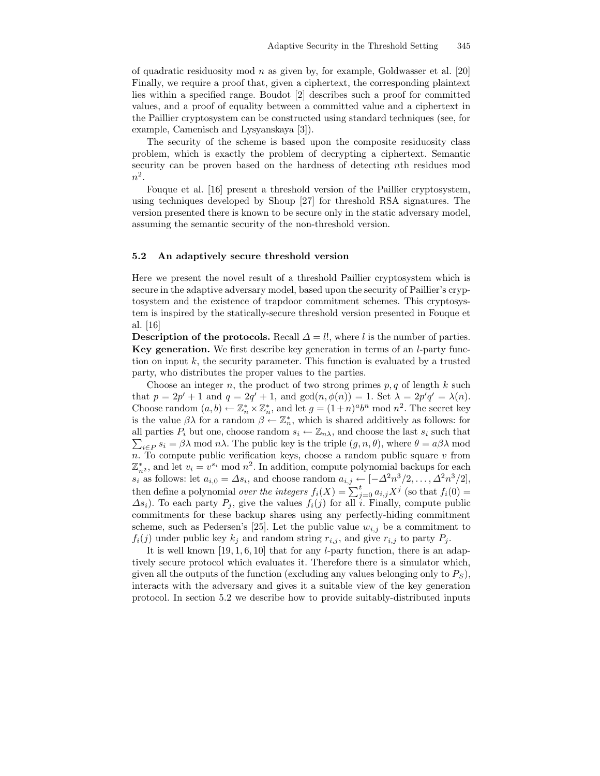of quadratic residuosity mod n as given by, for example, Goldwasser et al. [20] Finally, we require a proof that, given a ciphertext, the corresponding plaintext lies within a specified range. Boudot [2] describes such a proof for committed values, and a proof of equality between a committed value and a ciphertext in the Paillier cryptosystem can be constructed using standard techniques (see, for example, Camenisch and Lysyanskaya [3]).

The security of the scheme is based upon the composite residuosity class problem, which is exactly the problem of decrypting a ciphertext. Semantic security can be proven based on the hardness of detecting nth residues mod  $n^2$ .

Fouque et al. [16] present a threshold version of the Paillier cryptosystem, using techniques developed by Shoup [27] for threshold RSA signatures. The version presented there is known to be secure only in the static adversary model, assuming the semantic security of the non-threshold version.

### 5.2 An adaptively secure threshold version

Here we present the novel result of a threshold Paillier cryptosystem which is secure in the adaptive adversary model, based upon the security of Paillier's cryptosystem and the existence of trapdoor commitment schemes. This cryptosystem is inspired by the statically-secure threshold version presented in Fouque et al. [16]

**Description of the protocols.** Recall  $\Delta = l$ , where l is the number of parties. Key generation. We first describe key generation in terms of an l-party function on input  $k$ , the security parameter. This function is evaluated by a trusted party, who distributes the proper values to the parties.

Choose an integer n, the product of two strong primes  $p, q$  of length k such that  $p = 2p' + 1$  and  $q = 2q' + 1$ , and  $gcd(n, \phi(n)) = 1$ . Set  $\lambda = 2p'q' = \lambda(n)$ . Choose random  $(a, b) \leftarrow \mathbb{Z}_n^* \times \mathbb{Z}_n^*$ , and let  $g = (1+n)^a b^n \mod n^2$ . The secret key is the value  $\beta \lambda$  for a random  $\beta \leftarrow \mathbb{Z}_n^*$ , which is shared additively as follows: for all parties  $P_i$  but one, choose random  $s_i \leftarrow \mathbb{Z}_{n\lambda}$ , and choose the last  $s_i$  such that  $\sum_{i\in P} s_i = \beta \lambda \mod n\lambda$ . The public key is the triple  $(g, n, \theta)$ , where  $\theta = a\beta\lambda \mod n$  $n$ . To compute public verification keys, choose a random public square  $v$  from  $\mathbb{Z}_{n^2}^*$ , and let  $v_i = v^{s_i} \mod n^2$ . In addition, compute polynomial backups for each s<sub>i</sub> as follows: let  $a_{i,0} = \Delta s_i$ , and choose random  $a_{i,j} \leftarrow [-\Delta^2 n^3/2, \ldots, \Delta^2 n^3/2]$ , then define a polynomial *over the integers*  $f_i(X) = \sum_{j=0}^{t} a_{i,j} X^j$  (so that  $f_i(0) =$  $\Delta s_i$ ). To each party  $P_i$ , give the values  $f_i(j)$  for all i. Finally, compute public commitments for these backup shares using any perfectly-hiding commitment scheme, such as Pedersen's [25]. Let the public value  $w_{i,j}$  be a commitment to  $f_i(j)$  under public key  $k_j$  and random string  $r_{i,j}$ , and give  $r_{i,j}$  to party  $P_j$ .

It is well known  $[19, 1, 6, 10]$  that for any *l*-party function, there is an adaptively secure protocol which evaluates it. Therefore there is a simulator which, given all the outputs of the function (excluding any values belonging only to  $P<sub>S</sub>$ ), interacts with the adversary and gives it a suitable view of the key generation protocol. In section 5.2 we describe how to provide suitably-distributed inputs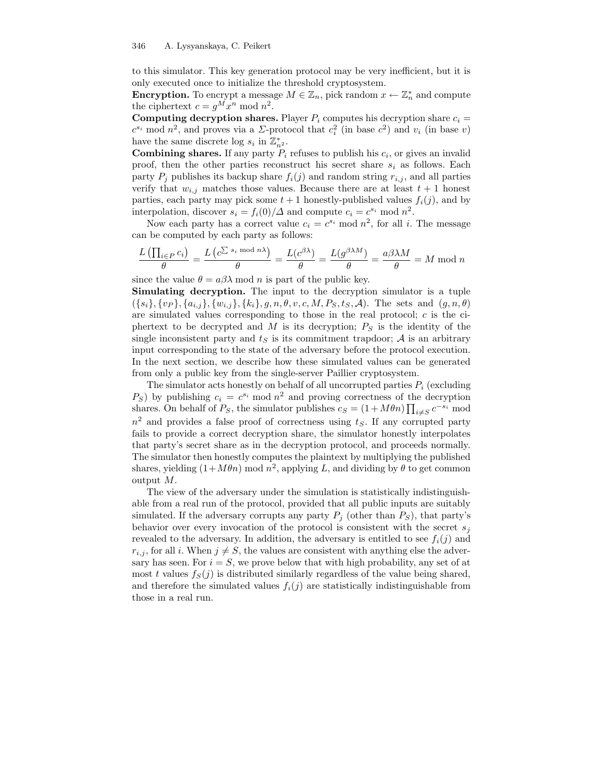to this simulator. This key generation protocol may be very inefficient, but it is only executed once to initialize the threshold cryptosystem.

**Encryption.** To encrypt a message  $M \in \mathbb{Z}_n$ , pick random  $x \leftarrow \mathbb{Z}_n^*$  and compute the ciphertext  $c = g^M x^n \bmod n^2$ .

Computing decryption shares. Player  $P_i$  computes his decryption share  $c_i =$  $c^{s_i}$  mod  $n^2$ , and proves via a *Σ*-protocol that  $c_i^2$  (in base  $c^2$ ) and  $v_i$  (in base  $v$ ) have the same discrete log  $s_i$  in  $\mathbb{Z}_{n^2}^*$ .

**Combining shares.** If any party  $P_i$  refuses to publish his  $c_i$ , or gives an invalid proof, then the other parties reconstruct his secret share  $s_i$  as follows. Each party  $P_j$  publishes its backup share  $f_i(j)$  and random string  $r_{i,j}$ , and all parties verify that  $w_{i,j}$  matches those values. Because there are at least  $t + 1$  honest parties, each party may pick some  $t + 1$  honestly-published values  $f_i(j)$ , and by interpolation, discover  $s_i = f_i(0)/\Delta$  and compute  $c_i = c^{s_i} \mod n^2$ .

Now each party has a correct value  $c_i = c^{s_i} \mod n^2$ , for all *i*. The message can be computed by each party as follows:

$$
\frac{L\left(\prod_{i\in P} c_i\right)}{\theta} = \frac{L\left(c^{\sum s_i \mod n\lambda}\right)}{\theta} = \frac{L(c^{\beta\lambda})}{\theta} = \frac{L(g^{\beta\lambda M})}{\theta} = \frac{a\beta\lambda M}{\theta} = M \mod n
$$

since the value  $\theta = a\beta\lambda \mod n$  is part of the public key.

Simulating decryption. The input to the decryption simulator is a tuple  $({s_i}, {v_P}, {a_{i,j}}, {w_{i,j}}, {k_i}, g, n, \theta, v, c, M, P_S, t_S, \mathcal{A})$ . The sets and  $(g, n, \theta)$ are simulated values corresponding to those in the real protocol; c is the ciphertext to be decrypted and  $M$  is its decryption;  $P<sub>S</sub>$  is the identity of the single inconsistent party and  $t<sub>S</sub>$  is its commitment trapdoor; A is an arbitrary input corresponding to the state of the adversary before the protocol execution. In the next section, we describe how these simulated values can be generated from only a public key from the single-server Paillier cryptosystem.

The simulator acts honestly on behalf of all uncorrupted parties  $P_i$  (excluding  $P_S$ ) by publishing  $c_i = c^{s_i} \mod n^2$  and proving correctness of the decryption shares. On behalf of  $P_S$ , the simulator publishes  $c_S = (1 + M\theta n) \prod_{i \neq S} c^{-s_i}$  mod  $n<sup>2</sup>$  and provides a false proof of correctness using  $t_S$ . If any corrupted party fails to provide a correct decryption share, the simulator honestly interpolates that party's secret share as in the decryption protocol, and proceeds normally. The simulator then honestly computes the plaintext by multiplying the published shares, yielding  $(1+M\theta n)$  mod  $n^2$ , applying L, and dividing by  $\theta$  to get common output M.

The view of the adversary under the simulation is statistically indistinguishable from a real run of the protocol, provided that all public inputs are suitably simulated. If the adversary corrupts any party  $P_j$  (other than  $P_S$ ), that party's behavior over every invocation of the protocol is consistent with the secret  $s_j$ revealed to the adversary. In addition, the adversary is entitled to see  $f_i(j)$  and  $r_{i,j}$ , for all i. When  $j \neq S$ , the values are consistent with anything else the adversary has seen. For  $i = S$ , we prove below that with high probability, any set of at most t values  $f_S(j)$  is distributed similarly regardless of the value being shared, and therefore the simulated values  $f_i(j)$  are statistically indistinguishable from those in a real run.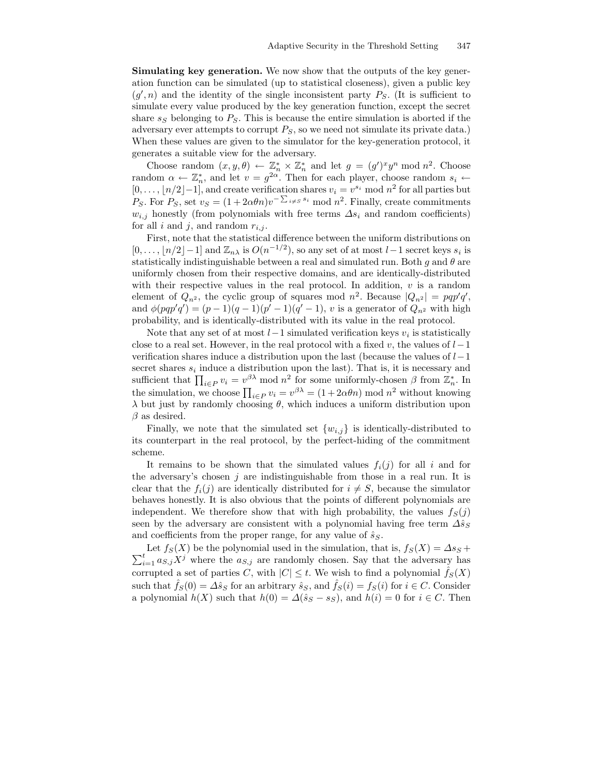Simulating key generation. We now show that the outputs of the key generation function can be simulated (up to statistical closeness), given a public key  $(g', n)$  and the identity of the single inconsistent party  $P_S$ . (It is sufficient to simulate every value produced by the key generation function, except the secret share  $s_S$  belonging to  $P_S$ . This is because the entire simulation is aborted if the adversary ever attempts to corrupt  $P<sub>S</sub>$ , so we need not simulate its private data.) When these values are given to the simulator for the key-generation protocol, it generates a suitable view for the adversary.

Choose random  $(x, y, \theta) \leftarrow \mathbb{Z}_n^* \times \mathbb{Z}_n^*$  and let  $g = (g')^x y^n \text{ mod } n^2$ . Choose random  $\alpha \leftarrow \mathbb{Z}_n^*$ , and let  $v = g^{2\alpha}$ . Then for each player, choose random  $s_i \leftarrow$  $[0, \ldots, \lfloor n/2 \rfloor - 1]$ , and create verification shares  $v_i = v^{s_i} \mod n^2$  for all parties but P<sub>S</sub>. For  $P_S$ , set  $v_S = (1 + 2\alpha\theta n)v^{-\sum_{i \neq S} s_i}$  mod  $n^2$ . Finally, create commitments  $w_{i,j}$  honestly (from polynomials with free terms  $\Delta s_i$  and random coefficients) for all i and j, and random  $r_{i,j}$ .

First, note that the statistical difference between the uniform distributions on  $[0, \ldots, \lfloor n/2 \rfloor - 1]$  and  $\mathbb{Z}_{n\lambda}$  is  $O(n^{-1/2})$ , so any set of at most  $l-1$  secret keys  $s_i$  is statistically indistinguishable between a real and simulated run. Both g and  $\theta$  are uniformly chosen from their respective domains, and are identically-distributed with their respective values in the real protocol. In addition,  $v$  is a random element of  $Q_{n^2}$ , the cyclic group of squares mod  $n^2$ . Because  $|Q_{n^2}| = pqp'q'$ , and  $\phi(pqp'q') = (p-1)(q-1)(p'-1)(q'-1)$ , v is a generator of  $Q_{n^2}$  with high probability, and is identically-distributed with its value in the real protocol.

Note that any set of at most  $l-1$  simulated verification keys  $v_i$  is statistically close to a real set. However, in the real protocol with a fixed v, the values of  $l-1$ verification shares induce a distribution upon the last (because the values of l−1 secret shares  $s_i$  induce a distribution upon the last). That is, it is necessary and sufficient that  $\prod_{i \in P} v_i = v^{\beta \lambda} \mod n^2$  for some uniformly-chosen  $\beta$  from  $\mathbb{Z}_n^*$ . In the simulation, we choose  $\prod_{i \in P} v_i = v^{\beta \lambda} = (1 + 2\alpha \theta n) \mod n^2$  without knowing  $\lambda$  but just by randomly choosing  $\theta$ , which induces a uniform distribution upon  $\beta$  as desired.

Finally, we note that the simulated set  $\{w_{i,j}\}\$ is identically-distributed to its counterpart in the real protocol, by the perfect-hiding of the commitment scheme.

It remains to be shown that the simulated values  $f_i(j)$  for all i and for the adversary's chosen  $j$  are indistinguishable from those in a real run. It is clear that the  $f_i(j)$  are identically distributed for  $i \neq S$ , because the simulator behaves honestly. It is also obvious that the points of different polynomials are independent. We therefore show that with high probability, the values  $f_S(j)$ seen by the adversary are consistent with a polynomial having free term  $\Delta \hat{s}_S$ and coefficients from the proper range, for any value of  $\hat{s}_S$ .

 $\sum$ Let  $f_S(X)$  be the polynomial used in the simulation, that is,  $f_S(X) = \Delta s_S + \frac{t}{i=1} a_{S,j} X^j$  where the  $a_{S,j}$  are randomly chosen. Say that the adversary has corrupted a set of parties C, with  $|C| \leq t$ . We wish to find a polynomial  $\hat{f}_S(X)$ such that  $\hat{f}_S(0) = \Delta \hat{s}_S$  for an arbitrary  $\hat{s}_S$ , and  $\hat{f}_S(i) = f_S(i)$  for  $i \in C$ . Consider a polynomial  $h(X)$  such that  $h(0) = \Delta(\hat{s}_S - s_S)$ , and  $h(i) = 0$  for  $i \in C$ . Then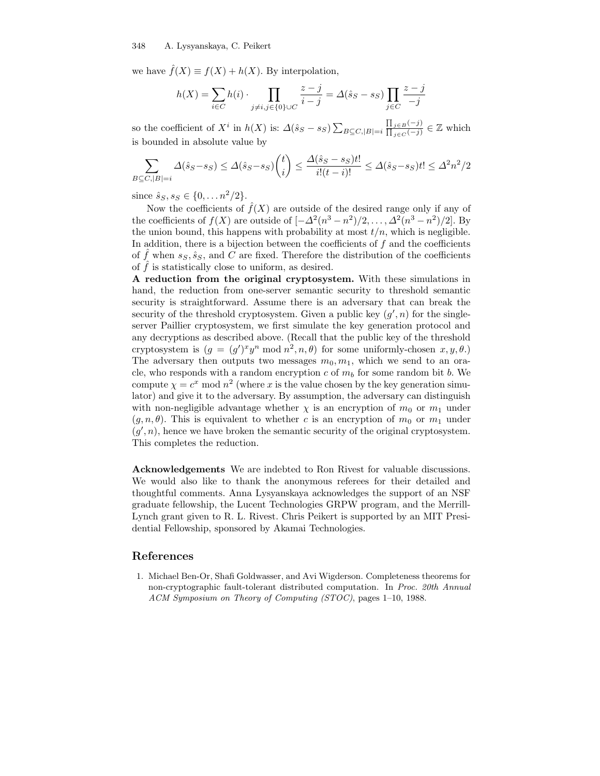we have  $\hat{f}(X) \equiv f(X) + h(X)$ . By interpolation,

$$
h(X) = \sum_{i \in C} h(i) \cdot \prod_{j \neq i, j \in \{0\} \cup C} \frac{z - j}{i - j} = \Delta(\hat{s}_S - s_S) \prod_{j \in C} \frac{z - j}{-j}
$$

so the coefficient of  $X^i$  in  $h(X)$  is:  $\Delta(\hat{s}_S - s_S) \sum_{B \subseteq C, |B|=i}$  $\frac{\prod_{j\in B}(-j)}{\prod_{j\in C}(-j)} \in \mathbb{Z}$  which is bounded in absolute value by

$$
\sum_{B \subseteq C, |B|=i} \Delta(\hat{s}_S - s_S) \le \Delta(\hat{s}_S - s_S) \binom{t}{i} \le \frac{\Delta(\hat{s}_S - s_S)t!}{i!(t-i)!} \le \Delta(\hat{s}_S - s_S)t! \le \Delta^2 n^2/2
$$

since  $\hat{s}_S, s_S \in \{0, \dots n^2/2\}.$ 

Now the coefficients of  $\hat{f}(X)$  are outside of the desired range only if any of the coefficients of  $f(X)$  are outside of  $[-\Delta^2(n^3 - n^2)/2, \ldots, \Delta^2(n^3 - n^2)/2]$ . By the union bound, this happens with probability at most  $t/n$ , which is negligible. In addition, there is a bijection between the coefficients of  $f$  and the coefficients of f when  $s_S, \hat{s}_S$ , and C are fixed. Therefore the distribution of the coefficients of  $\hat{f}$  is statistically close to uniform, as desired.

A reduction from the original cryptosystem. With these simulations in hand, the reduction from one-server semantic security to threshold semantic security is straightforward. Assume there is an adversary that can break the security of the threshold cryptosystem. Given a public key  $(g', n)$  for the singleserver Paillier cryptosystem, we first simulate the key generation protocol and any decryptions as described above. (Recall that the public key of the threshold cryptosystem is  $(g = (g')^x y^n \mod n^2, n, \theta)$  for some uniformly-chosen  $x, y, \theta$ . The adversary then outputs two messages  $m_0, m_1$ , which we send to an oracle, who responds with a random encryption c of  $m_b$  for some random bit b. We compute  $\chi = c^x \mod n^2$  (where x is the value chosen by the key generation simulator) and give it to the adversary. By assumption, the adversary can distinguish with non-negligible advantage whether  $\chi$  is an encryption of  $m_0$  or  $m_1$  under  $(g, n, \theta)$ . This is equivalent to whether c is an encryption of  $m_0$  or  $m_1$  under  $(g', n)$ , hence we have broken the semantic security of the original cryptosystem. This completes the reduction.

Acknowledgements We are indebted to Ron Rivest for valuable discussions. We would also like to thank the anonymous referees for their detailed and thoughtful comments. Anna Lysyanskaya acknowledges the support of an NSF graduate fellowship, the Lucent Technologies GRPW program, and the Merrill-Lynch grant given to R. L. Rivest. Chris Peikert is supported by an MIT Presidential Fellowship, sponsored by Akamai Technologies.

### References

1. Michael Ben-Or, Shafi Goldwasser, and Avi Wigderson. Completeness theorems for non-cryptographic fault-tolerant distributed computation. In Proc. 20th Annual ACM Symposium on Theory of Computing (STOC), pages 1–10, 1988.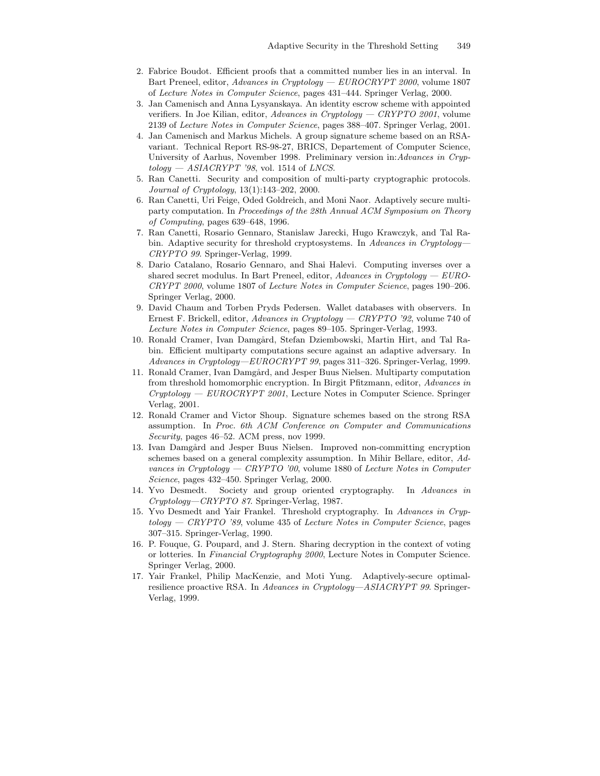- 2. Fabrice Boudot. Efficient proofs that a committed number lies in an interval. In Bart Preneel, editor, Advances in Cryptology — EUROCRYPT 2000, volume 1807 of Lecture Notes in Computer Science, pages 431–444. Springer Verlag, 2000.
- 3. Jan Camenisch and Anna Lysyanskaya. An identity escrow scheme with appointed verifiers. In Joe Kilian, editor, Advances in Cryptology — CRYPTO 2001, volume 2139 of Lecture Notes in Computer Science, pages 388–407. Springer Verlag, 2001.
- 4. Jan Camenisch and Markus Michels. A group signature scheme based on an RSAvariant. Technical Report RS-98-27, BRICS, Departement of Computer Science, University of Aarhus, November 1998. Preliminary version in:Advances in Cryp $tology - ASIACRYPT$  '98, vol. 1514 of LNCS.
- 5. Ran Canetti. Security and composition of multi-party cryptographic protocols. Journal of Cryptology, 13(1):143–202, 2000.
- 6. Ran Canetti, Uri Feige, Oded Goldreich, and Moni Naor. Adaptively secure multiparty computation. In Proceedings of the 28th Annual ACM Symposium on Theory of Computing, pages 639–648, 1996.
- 7. Ran Canetti, Rosario Gennaro, Stanislaw Jarecki, Hugo Krawczyk, and Tal Rabin. Adaptive security for threshold cryptosystems. In Advances in Cryptology-CRYPTO 99. Springer-Verlag, 1999.
- 8. Dario Catalano, Rosario Gennaro, and Shai Halevi. Computing inverses over a shared secret modulus. In Bart Preneel, editor,  $Advances$  in Cryptology  $-EURO-$ CRYPT 2000, volume 1807 of Lecture Notes in Computer Science, pages 190–206. Springer Verlag, 2000.
- 9. David Chaum and Torben Pryds Pedersen. Wallet databases with observers. In Ernest F. Brickell, editor, Advances in Cryptology — CRYPTO '92, volume 740 of Lecture Notes in Computer Science, pages 89–105. Springer-Verlag, 1993.
- 10. Ronald Cramer, Ivan Damgård, Stefan Dziembowski, Martin Hirt, and Tal Rabin. Efficient multiparty computations secure against an adaptive adversary. In Advances in Cryptology—EUROCRYPT 99, pages 311–326. Springer-Verlag, 1999.
- 11. Ronald Cramer, Ivan Damgård, and Jesper Buus Nielsen. Multiparty computation from threshold homomorphic encryption. In Birgit Pfitzmann, editor, Advances in Cryptology — EUROCRYPT 2001, Lecture Notes in Computer Science. Springer Verlag, 2001.
- 12. Ronald Cramer and Victor Shoup. Signature schemes based on the strong RSA assumption. In Proc. 6th ACM Conference on Computer and Communications Security, pages 46–52. ACM press, nov 1999.
- 13. Ivan Damgård and Jesper Buus Nielsen. Improved non-committing encryption schemes based on a general complexity assumption. In Mihir Bellare, editor, Advances in Cryptology  $-$  CRYPTO '00, volume 1880 of Lecture Notes in Computer Science, pages 432–450. Springer Verlag, 2000.
- 14. Yvo Desmedt. Society and group oriented cryptography. In Advances in Cryptology—CRYPTO 87. Springer-Verlag, 1987.
- 15. Yvo Desmedt and Yair Frankel. Threshold cryptography. In Advances in Cryp $tology - C\left(RYPTO\right)$  '89, volume 435 of *Lecture Notes in Computer Science*, pages 307–315. Springer-Verlag, 1990.
- 16. P. Fouque, G. Poupard, and J. Stern. Sharing decryption in the context of voting or lotteries. In Financial Cryptography 2000, Lecture Notes in Computer Science. Springer Verlag, 2000.
- 17. Yair Frankel, Philip MacKenzie, and Moti Yung. Adaptively-secure optimalresilience proactive RSA. In Advances in Cryptology—ASIACRYPT 99. Springer-Verlag, 1999.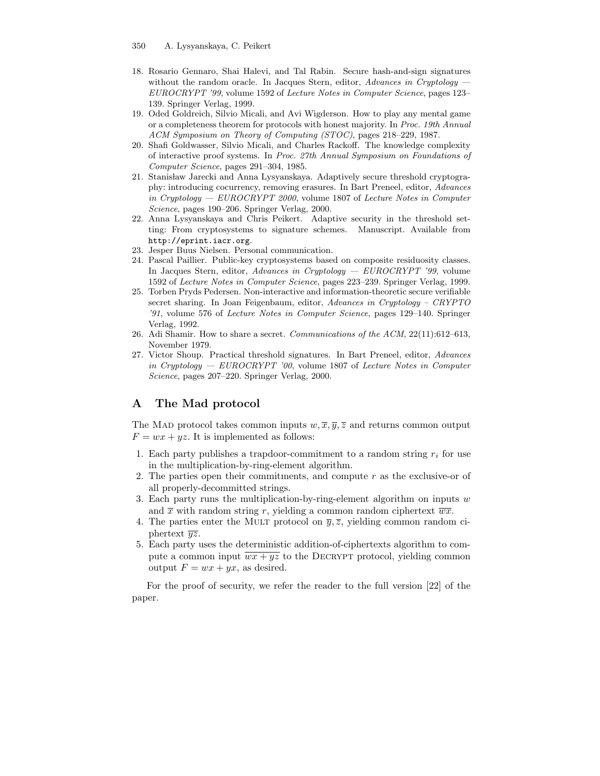- 18. Rosario Gennaro, Shai Halevi, and Tal Rabin. Secure hash-and-sign signatures without the random oracle. In Jacques Stern, editor,  $Advances$  in Cryptology EUROCRYPT '99, volume 1592 of Lecture Notes in Computer Science, pages 123– 139. Springer Verlag, 1999.
- 19. Oded Goldreich, Silvio Micali, and Avi Wigderson. How to play any mental game or a completeness theorem for protocols with honest majority. In Proc. 19th Annual ACM Symposium on Theory of Computing (STOC), pages 218–229, 1987.
- 20. Shafi Goldwasser, Silvio Micali, and Charles Rackoff. The knowledge complexity of interactive proof systems. In Proc. 27th Annual Symposium on Foundations of Computer Science, pages 291–304, 1985.
- 21. Stanisław Jarecki and Anna Lysyanskaya. Adaptively secure threshold cryptography: introducing cocurrency, removing erasures. In Bart Preneel, editor, Advances in Cryptology — EUROCRYPT 2000, volume 1807 of Lecture Notes in Computer Science, pages 190–206. Springer Verlag, 2000.
- 22. Anna Lysyanskaya and Chris Peikert. Adaptive security in the threshold setting: From cryptosystems to signature schemes. Manuscript. Available from http://eprint.iacr.org.
- 23. Jesper Buus Nielsen. Personal communication.
- 24. Pascal Paillier. Public-key cryptosystems based on composite residuosity classes. In Jacques Stern, editor, Advances in Cryptology — EUROCRYPT '99, volume 1592 of Lecture Notes in Computer Science, pages 223–239. Springer Verlag, 1999.
- 25. Torben Pryds Pedersen. Non-interactive and information-theoretic secure verifiable secret sharing. In Joan Feigenbaum, editor, Advances in Cryptology – CRYPTO '91, volume 576 of Lecture Notes in Computer Science, pages 129–140. Springer Verlag, 1992.
- 26. Adi Shamir. How to share a secret. Communications of the ACM, 22(11):612–613, November 1979.
- 27. Victor Shoup. Practical threshold signatures. In Bart Preneel, editor, Advances in Cryptology —  $EUROCRYPT$  '00, volume 1807 of Lecture Notes in Computer Science, pages 207–220. Springer Verlag, 2000.

# A The Mad protocol

The MAD protocol takes common inputs  $w, \overline{x}, \overline{y}, \overline{z}$  and returns common output  $F = wx + yz$ . It is implemented as follows:

- 1. Each party publishes a trapdoor-commitment to a random string  $r_i$  for use in the multiplication-by-ring-element algorithm.
- 2. The parties open their commitments, and compute r as the exclusive-or of all properly-decommitted strings.
- 3. Each party runs the multiplication-by-ring-element algorithm on inputs  $w$ and  $\overline{x}$  with random string r, yielding a common random ciphertext  $\overline{wx}$ .
- 4. The parties enter the MULT protocol on  $\overline{y}, \overline{z}$ , yielding common random ciphertext  $\overline{yz}$ .
- 5. Each party uses the deterministic addition-of-ciphertexts algorithm to compute a common input  $\overline{wx + yz}$  to the DECRYPT protocol, yielding common output  $F = wx + yx$ , as desired.

For the proof of security, we refer the reader to the full version [22] of the paper.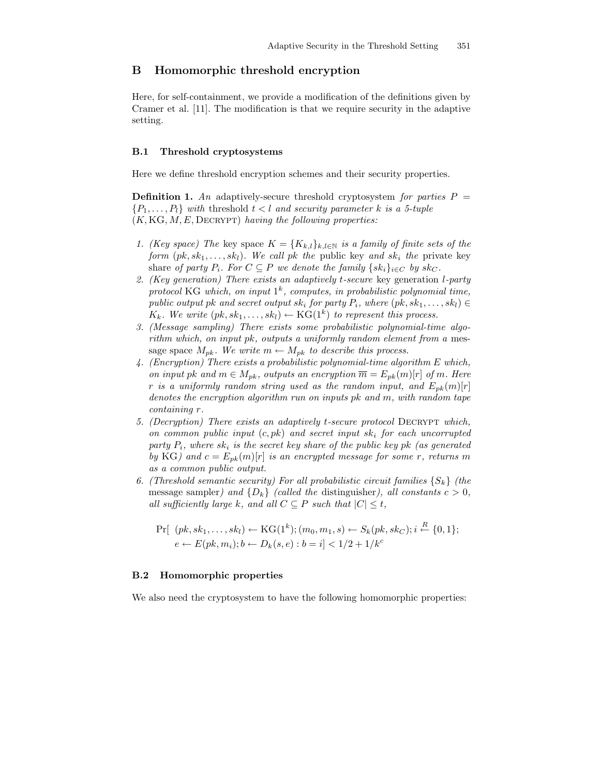# B Homomorphic threshold encryption

Here, for self-containment, we provide a modification of the definitions given by Cramer et al. [11]. The modification is that we require security in the adaptive setting.

#### B.1 Threshold cryptosystems

Here we define threshold encryption schemes and their security properties.

**Definition 1.** An adaptively-secure threshold cryptosystem for parties  $P =$  $\{P_1, \ldots, P_l\}$  with threshold  $t < l$  and security parameter k is a 5-tuple  $(K, KG, M, E, DECRYPT)$  having the following properties:

- 1. (Key space) The key space  $K = \{K_{k,l}\}_{k,l \in \mathbb{N}}$  is a family of finite sets of the form  $(pk, sk_1, \ldots, sk_l)$ . We call pk the public key and  $sk_i$  the private key share of party  $P_i$ . For  $C \subseteq P$  we denote the family  $\{sk_i\}_{i \in C}$  by  $sk_C$ .
- 2. (Key generation) There exists an adaptively t-secure key generation l-party protocol KG which, on input  $1^k$ , computes, in probabilistic polynomial time, public output pk and secret output sk<sub>i</sub> for party  $P_i$ , where  $(pk, sk_1, \ldots, sk_l) \in$  $K_k$ . We write  $(pk, sk_1, \ldots, sk_l) \leftarrow KG(1^k)$  to represent this process.
- 3. (Message sampling) There exists some probabilistic polynomial-time algorithm which, on input pk, outputs a uniformly random element from a message space  $M_{pk}$ . We write  $m \leftarrow M_{pk}$  to describe this process.
- 4. (Encryption) There exists a probabilistic polynomial-time algorithm E which, on input pk and  $m \in M_{pk}$ , outputs an encryption  $\overline{m} = E_{pk}(m)[r]$  of m. Here r is a uniformly random string used as the random input, and  $E_{pk}(m)[r]$ denotes the encryption algorithm run on inputs pk and m, with random tape containing r.
- 5. (Decryption) There exists an adaptively t-secure protocol Decrypt which, on common public input  $(c, pk)$  and secret input sk<sub>i</sub> for each uncorrupted party  $P_i$ , where sk<sub>i</sub> is the secret key share of the public key pk (as generated by KG) and  $c = E_{pk}(m)[r]$  is an encrypted message for some r, returns m as a common public output.
- 6. (Threshold semantic security) For all probabilistic circuit families  $\{S_k\}$  (the message sampler) and  $\{D_k\}$  (called the distinguisher), all constants  $c > 0$ , all sufficiently large k, and all  $C \subseteq P$  such that  $|C| \leq t$ ,

$$
\Pr[\ (pk, sk_1, \dots, sk_l) \leftarrow KG(1^k); (m_0, m_1, s) \leftarrow S_k(pk, sk_C); i \xleftarrow{R} \{0, 1\};\ e \leftarrow E(pk, m_i); b \leftarrow D_k(s, e) : b = i] < 1/2 + 1/k^c
$$

### B.2 Homomorphic properties

We also need the cryptosystem to have the following homomorphic properties: